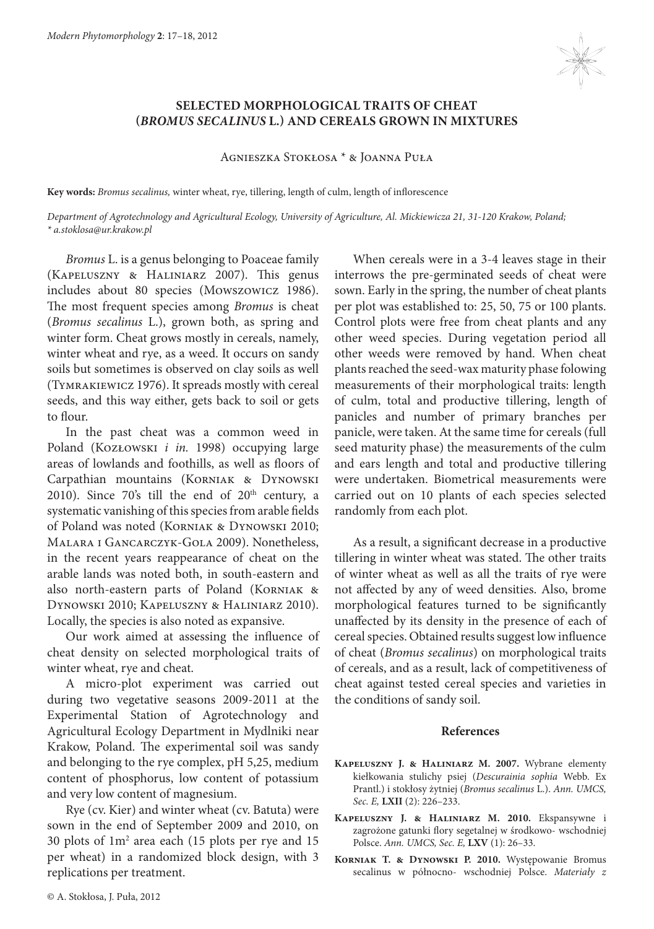

## **SELECTED MORPHOLOGICAL TRAITS OF CHEAT (***BROMUS SECALINUS* **L.) AND CEREALS GROWN IN MIXTURES**

## Agnieszka Stokłosa \* & Joanna Puła

**Key words:** *Bromus secalinus,* winter wheat, rye, tillering, length of culm, length of inflorescence

*Department of Agrotechnology and Agricultural Ecology, University of Agriculture, Al. Mickiewicza 21, 31-120 Krakow, Poland; \* a.stoklosa@ur.krakow.pl*

*Bromus* L. is a genus belonging to Poaceae family (Kapeluszny & Haliniarz 2007). This genus includes about 80 species (Mowszowicz 1986). The most frequent species among *Bromus* is cheat (*Bromus secalinus* L.), grown both, as spring and winter form. Cheat grows mostly in cereals, namely, winter wheat and rye, as a weed. It occurs on sandy soils but sometimes is observed on clay soils as well (Tymrakiewicz 1976). It spreads mostly with cereal seeds, and this way either, gets back to soil or gets to flour.

In the past cheat was a common weed in Poland (Kozłowski *i in.* 1998) occupying large areas of lowlands and foothills, as well as floors of Carpathian mountains (KORNIAK & DYNOWSKI 2010). Since  $70's$  till the end of  $20<sup>th</sup>$  century, a systematic vanishing of this species from arable fields of Poland was noted (Korniak & Dynowski 2010; Malara i Gancarczyk-Gola 2009). Nonetheless, in the recent years reappearance of cheat on the arable lands was noted both, in south-eastern and also north-eastern parts of Poland (Korniak & Dynowski 2010; Kapeluszny & Haliniarz 2010). Locally, the species is also noted as expansive.

Our work aimed at assessing the influence of cheat density on selected morphological traits of winter wheat, rye and cheat.

A micro-plot experiment was carried out during two vegetative seasons 2009-2011 at the Experimental Station of Agrotechnology and Agricultural Ecology Department in Mydlniki near Krakow, Poland. The experimental soil was sandy and belonging to the rye complex, pH 5,25, medium content of phosphorus, low content of potassium and very low content of magnesium.

Rye (cv. Kier) and winter wheat (cv. Batuta) were sown in the end of September 2009 and 2010, on 30 plots of 1m2 area each (15 plots per rye and 15 per wheat) in a randomized block design, with 3 replications per treatment.

When cereals were in a 3-4 leaves stage in their interrows the pre-germinated seeds of cheat were sown. Early in the spring, the number of cheat plants per plot was established to: 25, 50, 75 or 100 plants. Control plots were free from cheat plants and any other weed species. During vegetation period all other weeds were removed by hand. When cheat plants reached the seed-wax maturity phase folowing measurements of their morphological traits: length of culm, total and productive tillering, length of panicles and number of primary branches per panicle, were taken. At the same time for cereals (full seed maturity phase) the measurements of the culm and ears length and total and productive tillering were undertaken. Biometrical measurements were carried out on 10 plants of each species selected randomly from each plot.

As a result, a significant decrease in a productive tillering in winter wheat was stated. The other traits of winter wheat as well as all the traits of rye were not affected by any of weed densities. Also, brome morphological features turned to be significantly unaffected by its density in the presence of each of cereal species. Obtained results suggest low influence of cheat (*Bromus secalinus*) on morphological traits of cereals, and as a result, lack of competitiveness of cheat against tested cereal species and varieties in the conditions of sandy soil.

## **References**

- **Kapeluszny J. & Haliniarz M. 2007.** Wybrane elementy kiełkowania stulichy psiej (*Descurainia sophia* Webb. Ex Prantl.) i stokłosy żytniej (*Bromus secalinus* L.). *Ann. UMCS, Sec. E,* **LXII** (2): 226–233.
- **Kapeluszny J. & Haliniarz M. 2010.** Ekspansywne i zagrożone gatunki flory segetalnej w środkowo- wschodniej Polsce. *Ann. UMCS, Sec. E,* **LXV** (1): 26–33.
- **Korniak T. & Dynowski P. 2010.** Występowanie Bromus secalinus w północno- wschodniej Polsce. *Materiały z*